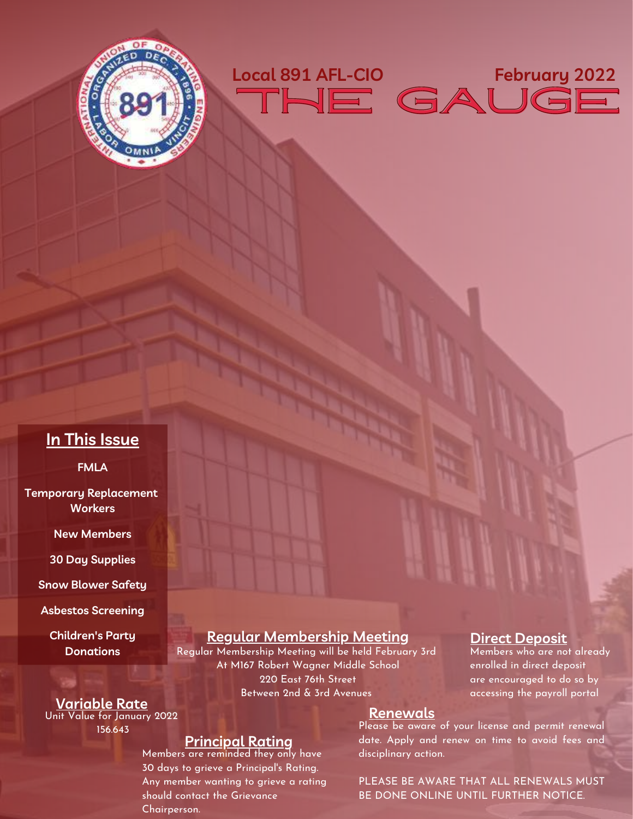



### **In This Issue**

**FMLA**

**Temporary Replacement Workers**

**New Members**

**30 Day Supplies**

**Snow Blower Safety**

**Asbestos Screening**

**Children's Party Donations**

#### **Regular Membership Meeting** Regular Membership Meeting will be held February 3rd

At M167 Robert Wagner Middle School 220 East 76th Street Between 2nd & 3rd Avenues

#### **Direct Deposit**

Members who are not already enrolled in direct deposit are encouraged to do so by accessing the payroll portal

#### **Variable Rate** Unit Value for January 2022

156.643

### **Principal Rating**

Members are reminded they only have 30 days to grieve a Principal's Rating. Any member wanting to grieve a rating [should contact the Grievance](mailto:grievances891@local891.com?subject=custom%20subject&body=Chairperson%20Maderich,) Chairperson.

#### **Renewals**

Please be aware of your license and permit renewal date. Apply and renew on time to avoid fees and disciplinary action.

PLEASE BE AWARE THAT ALL RENEWALS MUST BE DONE ONLINE UNTIL FURTHER NOTICE.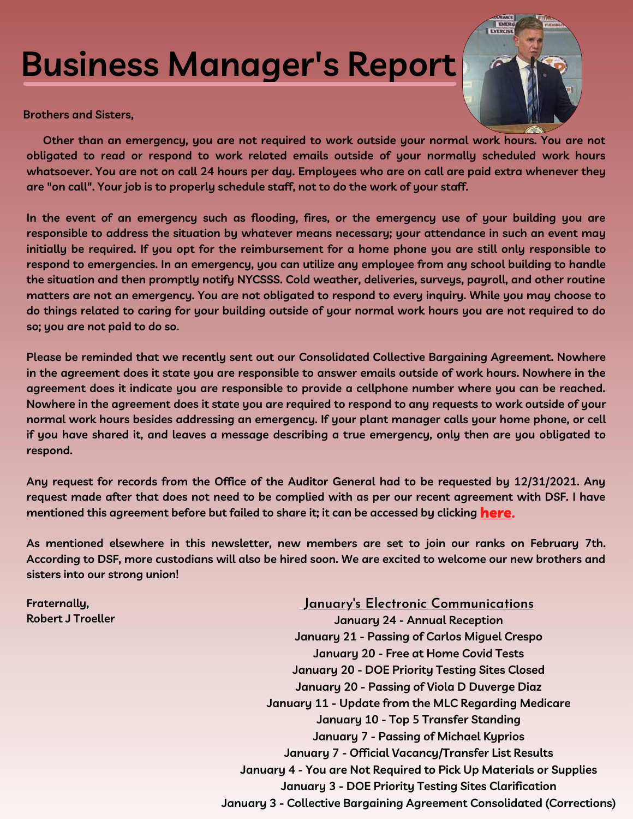# **Business Manager's Report**



**Brothers and Sisters,**

 **Other than an emergency, you are not required to work outside your normal work hours. You are not obligated to read or respond to work related emails outside of your normally scheduled work hours whatsoever. You are not on call 24 hours per day. Employees who are on call are paid extra whenever they are "on call". Your job is to properly schedule staff, not to do the work of your staff.**

**In the event of an emergency such as flooding, fires, or the emergency use of your building you are responsible to address the situation by whatever means necessary; your attendance in such an event may initially be required. If you opt for the reimbursement for a home phone you are still only responsible to respond to emergencies. In an emergency, you can utilize any employee from any school building to handle the situation and then promptly notify NYCSSS. Cold weather, deliveries, surveys, payroll, and other routine matters are not an emergency. You are not obligated to respond to every inquiry. While you may choose to do things related to caring for your building outside of your normal work hours you are not required to do so; you are not paid to do so.**

**Please be reminded that we recently sent out our Consolidated Collective Bargaining Agreement. Nowhere in the agreement does it state you are responsible to answer emails outside of work hours. Nowhere in the agreement does it indicate you are responsible to provide a cellphone number where you can be reached. Nowhere in the agreement does it state you are required to respond to any requests to work outside of your normal work hours besides addressing an emergency. If your plant manager calls your home phone, or cell if you have shared it, and leaves a message describing a true emergency, only then are you obligated to respond.**

**Any request for records from the Office of the Auditor General had to be requested by 12/31/2021. Any request made after that does not need to be complied with as per our recent agreement with DSF. I have mentioned this agreement before but failed to share it; it can be accessed by clicking**  [here](https://files.constantcontact.com/4088f45b501/588da048-6676-4f5e-9c22-f804bd6bc039.pdf)**.**

**As mentioned elsewhere in this newsletter, new members are set to join our ranks on February 7th. According to DSF, more custodians will also be hired soon. We are excited to welcome our new brothers and sisters into our strong union!**

**[Fraternally,](mailto:president@local891.com?subject=custom%20subject&body=Business%20Manager/President%20Troeller,) [Robert J Troeller](mailto:president@local891.com?subject=custom%20subject&body=Business%20Manager/President%20Troeller,)**

**January's Electronic Communications [January 3 - Collective Bargaining Agreement Consolidated \(Corrections\)](https://conta.cc/32KuLDx) [January 24 - Annual Reception](https://conta.cc/3gaiITj) [January 21 - Passing of Carlos Miguel Crespo](https://conta.cc/3nHTOi0) [January 20 - Free at Home Covid Tests](https://conta.cc/3rDsMtd) [January 20 - DOE Priority Testing Sites Closed](https://conta.cc/3fHtoIF) [January 20 - Passing of Viola D Duverge Diaz](https://conta.cc/3nCZoSH) [January 11 - Update from the MLC Regarding Medicare](https://conta.cc/31Li0rN) [January 10 - Top 5 Transfer Standing](https://conta.cc/3f6oTag) [January 7 - Passing of Michael Kyprios](https://conta.cc/3n7DruB) [January 7 - Official Vacancy/Transfer List Results](https://conta.cc/3qWb1VI) [January 4 - You are Not Required to Pick Up Materials or Supplies](https://conta.cc/3eSEkTr) [January 3 - DOE Priority Testing Sites Clarification](https://conta.cc/3ztm78w)**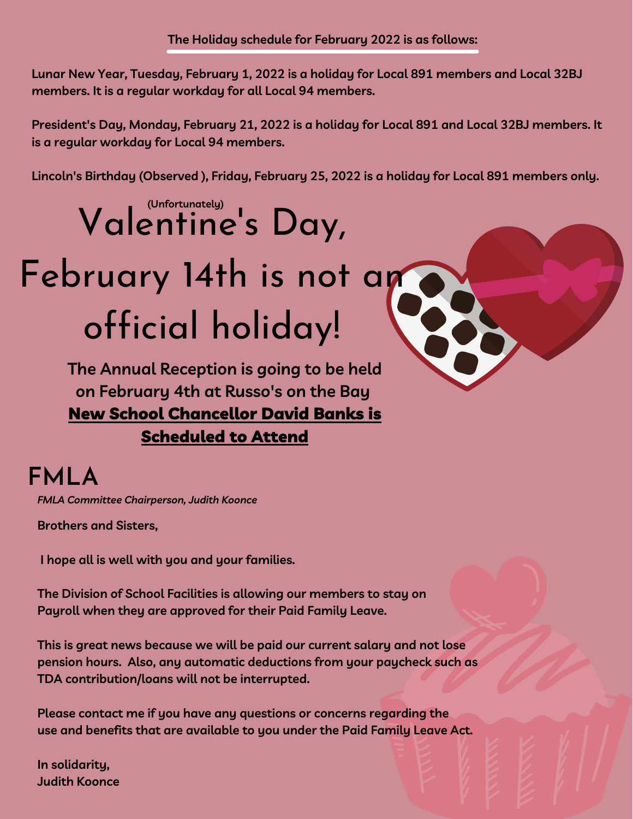**Lunar New Year, Tuesday, February 1, 2022 is a holiday for Local 891 members and Local 32BJ members. It is a regular workday for all Local 94 members.**

**President's Day, Monday, February 21, 2022 is a holiday for Local 891 and Local 32BJ members. It is a regular workday for Local 94 members.**

**Lincoln's Birthday (Observed ), Friday, February 25, 2022 is a holiday for Local 891 members only.** 

# Valentine's Day,

# February 14th is not an official holiday!

**The Annual Reception is going to be held on February 4th at Russo's on the Bay** New School Chancellor David Banks is Scheduled to Attend

# **FMLA**

*[FMLA Committee Chairperson, Judith Koonce](mailto:fmlassistance@local891.com?subject=custom%20subject&body=Chairperson%20Koonce,)* 

**Brothers and Sisters,**

**I hope all is well with you and your families.**

**The Division of School Facilities is allowing our members to stay on Payroll when they are approved for their Paid Family Leave.**

**This is great news because we will be paid our current salary and not lose pension hours. Also, any automatic deductions from your paycheck such as TDA contribution/loans will not be interrupted.**

**Please contact me if you have any questions or concerns regarding the use and benefits that are available to you under the Paid Family Leave Act.**

**In solidarity, [Judith Koonce](mailto:fmlassistance@local891.com?subject=custom%20subject&body=Chairperson%20Koonce,)**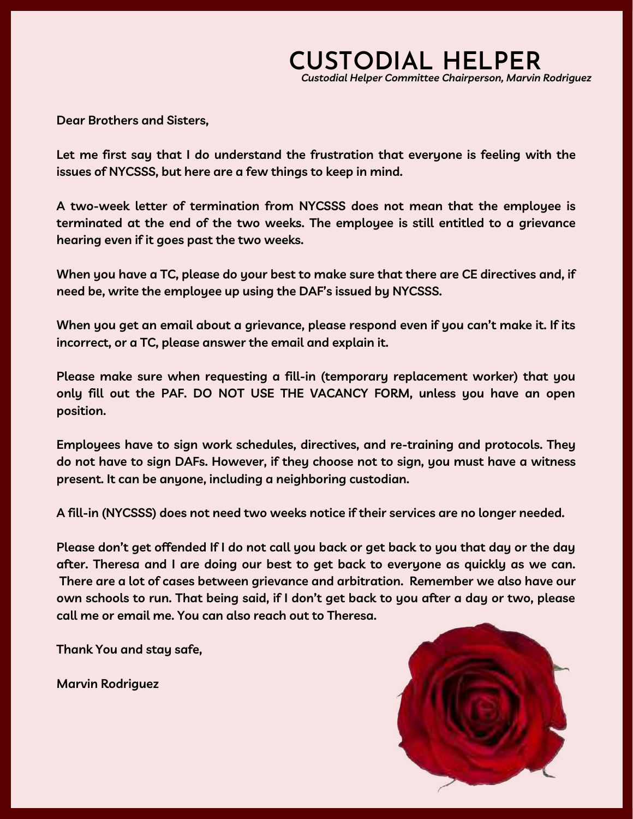### *[Custodial Helper Committee Chairperson, Marvin Rodriguez](mailto:custodialhelpercommittee@local891.com?subject=custom%20subject&body=Chairperson%20Rodriquez,)* **CUSTODIAL HELPER**

**Dear Brothers and Sisters,**

**Let me first say that I do understand the frustration that everyone is feeling with the issues of NYCSSS, but here are a few things to keep in mind.**

**A two-week letter of termination from NYCSSS does not mean that the employee is terminated at the end of the two weeks. The employee is still entitled to a grievance hearing even if it goes past the two weeks.**

**When you have a TC, please do your best to make sure that there are CE directives and, if need be, write the employee up using the DAF's issued by NYCSSS.**

**When you get an email about a grievance, please respond even if you can't make it. If its incorrect, or a TC, please answer the email and explain it.**

**Please make sure when requesting a fill-in (temporary replacement worker) that you only fill out the PAF. DO NOT USE THE VACANCY FORM, unless you have an open position.** 

**Employees have to sign work schedules, directives, and re-training and protocols. They do not have to sign DAFs. However, if they choose not to sign, you must have a witness present. It can be anyone, including a neighboring custodian.**

**A fill-in (NYCSSS) does not need two weeks notice if their services are no longer needed.**

**Please don't get offended If I do not call you back or get back to you that day or the day after. Theresa and I are doing our best to get back to everyone as quickly as we can. There are a lot of cases between grievance and arbitration. Remember we also have our own schools to run. That being said, if I don't get back to you after a day or two, please call me or email me. You can also reach out to Theresa.**

**Thank You and stay safe,**

**[Marvin Rodriguez](mailto:custodialhelpercommittee@local891.com?subject=custom%20subject&body=Chairperson%20Rodriquez,)** 

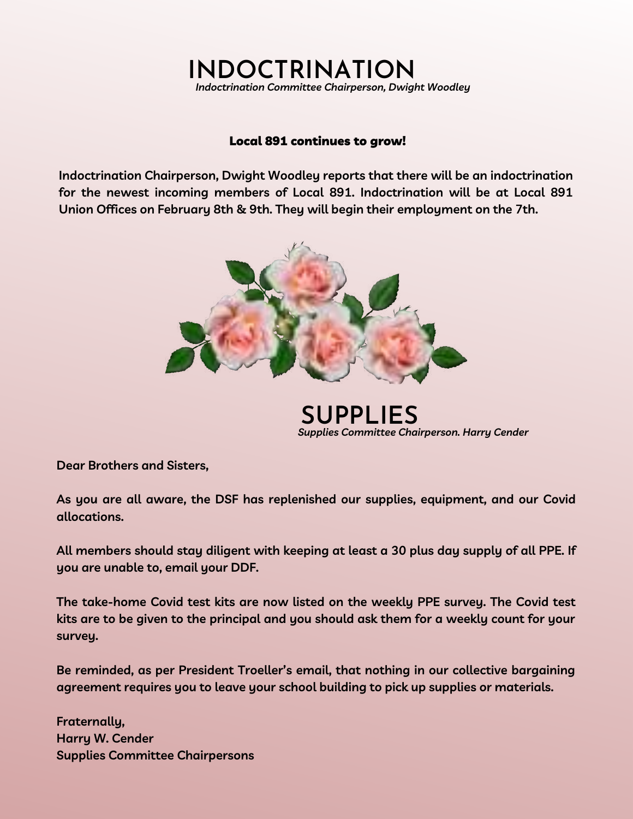### **[INDOCTRINATION](mailto:indoctrination@local891.com?subject=custom%20subject&body=Chairperson%20Woodley,)** *Indoctrination Committee Chairperson, Dwight Woodley*

### Local 891 continues to grow!

**[Indoctrination Chairperson, Dwight Woodley r](mailto:indoctrination@local891.com?subject=custom%20subject&body=Chairperson%20Woodley,)eports that there will be an indoctrination for the newest incoming members of Local 891. Indoctrination will be at Local 891 Union Offices on February 8th & 9th. They will begin their employment on the 7th.** 



**[SUPPLIES](mailto:supplies@local891.com?subject=custom%20subject&body=Chairperson%20Cender,)** *Supplies Committee Cha[irperson. Harry Cender](mailto:supplies@local891.com?subject=custom%20subject&body=Chairperson%20Cender,)*

**Dear Brothers and Sisters,**

**As you are all aware, the DSF has replenished our supplies, equipment, and our Covid allocations.**

**All members should stay diligent with keeping at least a 30 plus day supply of all PPE. If you are unable to, email your DDF.**

**The take-home Covid test kits are now listed on the weekly PPE survey. The Covid test kits are to be given to the principal and you should ask them for a weekly count for your survey.**

**Be reminded, as per President Troeller's email, that nothing in our collective bargaining agreement requires you to leave your school building to pick up supplies or materials.**

**Fraternally, [Harry W. Cender](mailto:supplies@local891.com?subject=custom%20subject&body=Chairperson%20Cender,) [Supplies Committee Chairpersons](mailto:supplies@local891.com?subject=custom%20subject&body=Chairperson%20Cender,)**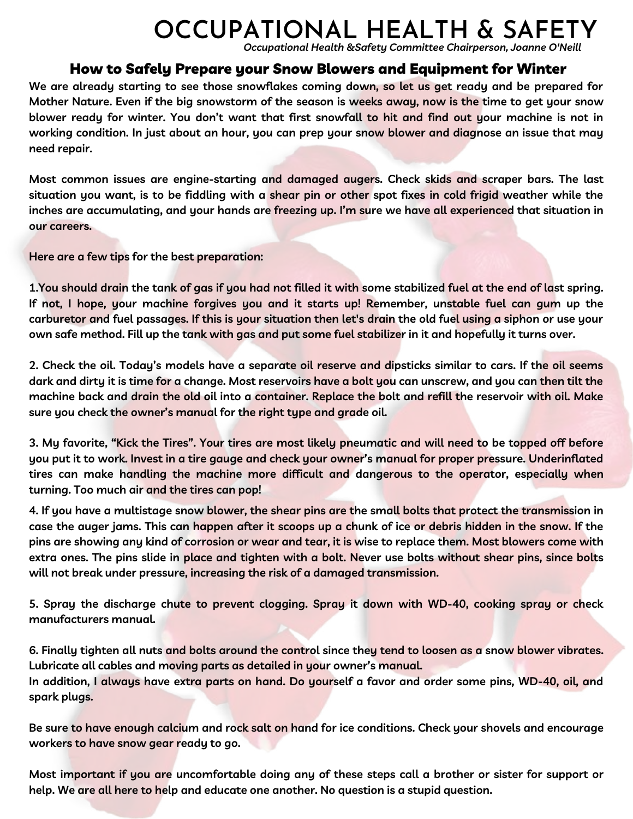# **OCCUPATIONAL HEALTH & SAFETY**

*[Occupational Health &Safety Committee Chairperson, Joanne O'Neill](mailto:occupationalhealth@local891.com?subject=custom%20subject&body=Chairperson%20O%27Niell,)*

### How to Safely Prepare your Snow Blowers and Equipment for Winter

**We are already starting to see those snowflakes coming down, so let us get ready and be prepared for Mother Nature. Even if the big snowstorm of the season is weeks away, now is the time to get your snow blower ready for winter. You don't want that first snowfall to hit and find out your machine is not in working condition. In just about an hour, you can prep your snow blower and diagnose an issue that may need repair.**

**Most common issues are engine-starting and damaged augers. Check skids and scraper bars. The last situation you want, is to be fiddling with a shear pin or other spot fixes in cold frigid weather while the inches are accumulating, and your hands are freezing up. I'm sure we have all experienced that situation in our careers.**

**Here are a few tips for the best preparation:**

**1.You should drain the tank of gas if you had not filled it with some stabilized fuel at the end of last spring. If not, I hope, your machine forgives you and it starts up! Remember, unstable fuel can gum up the carburetor and fuel passages. If this is your situation then let's drain the old fuel using a siphon or use your own safe method. Fill up the tank with gas and put some fuel stabilizer in it and hopefully it turns over.**

**2. Check the oil. Today's models have a separate oil reserve and dipsticks similar to cars. If the oil seems dark and dirty it is time for a change. Most reservoirs have a bolt you can unscrew, and you can then tilt the machine back and drain the old oil into a container. Replace the bolt and refill the reservoir with oil. Make sure you check the owner's manual for the right type and grade oil.**

**3. My favorite, "Kick the Tires". Your tires are most likely pneumatic and will need to be topped off before you put it to work. Invest in a tire gauge and check your owner's manual for proper pressure. Underinflated tires can make handling the machine more difficult and dangerous to the operator, especially when turning. Too much air and the tires can pop!** 

**4. If you have a multistage snow blower, the shear pins are the small bolts that protect the transmission in case the auger jams. This can happen after it scoops up a chunk of ice or debris hidden in the snow. If the pins are showing any kind of corrosion or wear and tear, it is wise to replace them. Most blowers come with extra ones. The pins slide in place and tighten with a bolt. Never use bolts without shear pins, since bolts will not break under pressure, increasing the risk of a damaged transmission.**

**5. Spray the discharge chute to prevent clogging. Spray it down with WD-40, cooking spray or check manufacturers manual.**

**6. Finally tighten all nuts and bolts around the control since they tend to loosen as a snow blower vibrates. Lubricate all cables and moving parts as detailed in your owner's manual. In addition, I always have extra parts on hand. Do yourself a favor and order some pins, WD-40, oil, and spark plugs.**

**Be sure to have enough calcium and rock salt on hand for ice conditions. Check your shovels and encourage workers to have snow gear ready to go.**

**Most important if you are uncomfortable doing any of these steps call a brother or sister for support or help. We are all here to help and educate one another. No question is a stupid question.**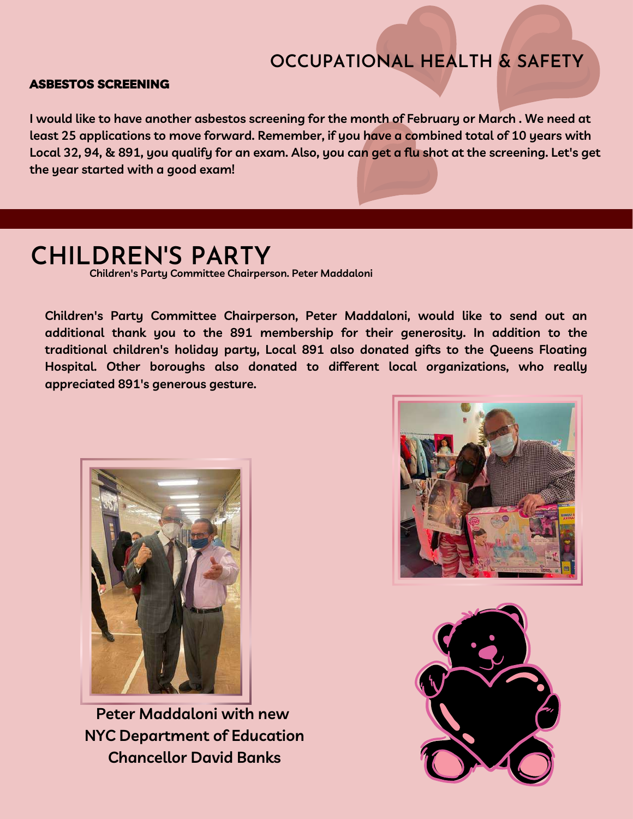### **OCCUPATIONAL HEALTH & SAFETY**

### ASBESTOS SCREENING

**I would like to have another asbestos screening for the month of February or March . We need at least 25 applications to move forward. Remember, if you have a combined total of 10 years with Local 32, 94, & 891, you qualify for an exam. Also, you can get a flu shot at the screening. Let's get the year started with a good exam!** 

# **CHILDREN'S PARTY**

**[Children's Party Committee Chairperson. Peter Maddaloni](mailto:queenschair@local891.com?subject=custom%20subject&body=Chairperson%20Maddaloni,)**

**[Children's Party Committee Chairperson, Peter Maddaloni,](mailto:queenschair@local891.com?subject=custom%20subject&body=Chairperson%20Maddaloni,) would like to send out an additional thank you to the 891 membership for their generosity. In addition to the traditional children's holiday party, Local 891 also donated gifts to the Queens Floating Hospital. Other boroughs also donated to different local organizations, who really appreciated 891's generous gesture.** 



**Peter Maddaloni with new NYC Department of Education Chancellor David Banks**



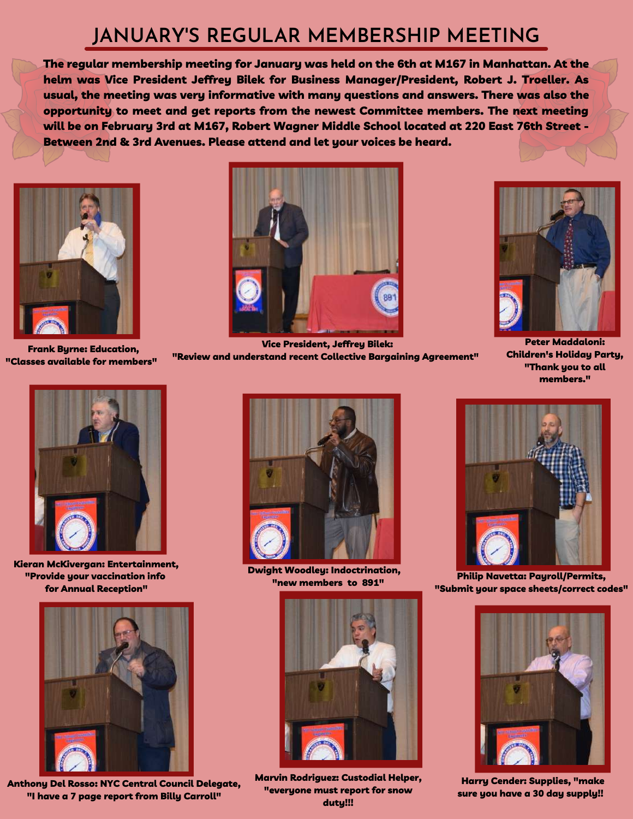## **JANUARY'S REGULAR MEMBERSHIP MEETING**

The regular membership meeting for January was held on the 6th at M167 in Manhattan. At the helm was [Vice President Jeffrey Bilek](mailto:vicepresident@local891.com?subject=custom%20subject&body=Vice%20President%20Bilek,) for Business Manager/President, Robert J. Troeller. As usual, the meeting was very informative with many questions and answers. There was also the opportunity to meet and get reports from the newest Committee members. The next meeting will be on February 3rd at M167, Robert Wagner Middle School located at 220 East 76th Street - Between 2nd & 3rd Avenues. Please attend and let your voices be heard.



Frank Byrne: Education, "Classes available for members"



[Kieran McKivergan: Entertainment,](mailto:financialsecretary@local891.com?subject=custom%20subject&body=Secretary%20McKivergan,) ["Provide your vaccination info](mailto:financialsecretary@local891.com?subject=custom%20subject&body=Secretary%20McKivergan,) [for Annual Reception"](mailto:financialsecretary@local891.com?subject=custom%20subject&body=Secretary%20McKivergan,)



[Anthony Del Rosso: NYC Central Council Delegate,](mailto:anthony@local891.com?subject=custom%20subject&body=Delegate%20Del%20Rosso,) "I have a 7 page report from Billy Carroll"



[Vice President, Jeffrey Bilek:](mailto:vicepresident@local891.com?subject=custom%20subject&body=Vice%20President%20Bilek,) ["Review and understand recent Collective Bargaining Agreement"](mailto:vicepresident@local891.com?subject=custom%20subject&body=Vice%20President%20Bilek,)



[Peter Maddaloni:](mailto:queenschair@local891.com?subject=custom%20subject&body=Chairperson%20Maddaloni,) Children's Holiday Party, "Thank you to all members."



[Dwight Woodley: Indoctrination,](mailto:indoctrination@local891.com?subject=custom%20subject&body=Chairperson%20Woodley,)  ["new members to 891"](mailto:indoctrination@local891.com?subject=custom%20subject&body=Chairperson%20Woodley,)



**Philip Navetta: Pauroll/Permits.** ["Submit your space sheets/correct codes"](mailto:payroll@local891.com?subject=custom%20subject&body=Chairperson%20Navetta,)



[H](mailto:supplies@local891.com?subject=custom%20subject&body=Chairperson%20Cender,)arry Cender: Supplies, "make [sure you have a 30 day supply!!](mailto:supplies@local891.com?subject=custom%20subject&body=Chairperson%20Cender,)



[Marvin Rodriguez: Custodial Helper,](mailto:custodialhelpercommittee@local891.com?subject=custom%20subject&body=Chairperson%20Rodriquez,) "everyone must report for snow duty!!!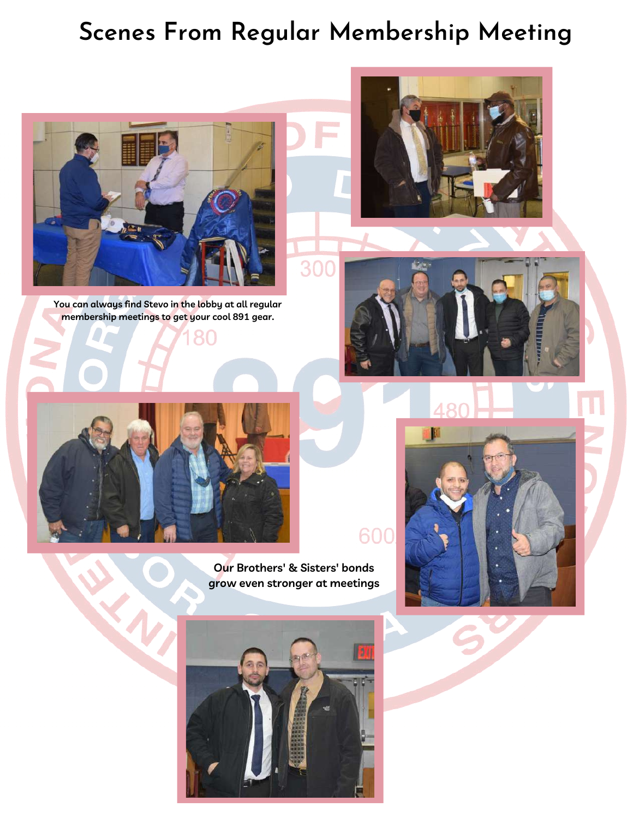## **Scenes From Regular Membership Meeting**

300



**You can always find [Stevo](mailto:merchandise@local891.com?subject=custom%20subject&body=Chairperson%20Pepdjonovic,) in the lobby at all regular membership meetings to get your cool 891 gear.**



 $\langle$ 

**Our Brothers' & Sisters' bonds grow even stronger at meetings**







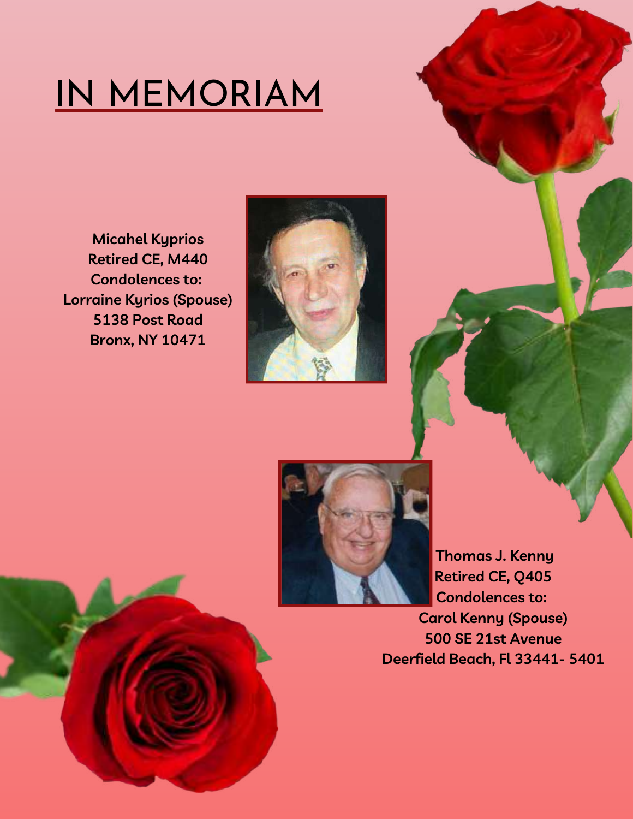# IN MEMORIAM

**Micahel Kyprios Retired CE, M440 Condolences to: Lorraine Kyrios (Spouse) 5138 Post Road Bronx, NY 10471**





 **Thomas J. Kenny Retired CE, Q405 Condolences to: Carol Kenny (Spouse) 500 SE 21st Avenue**

**Deerfield Beach, Fl 33441- 5401**